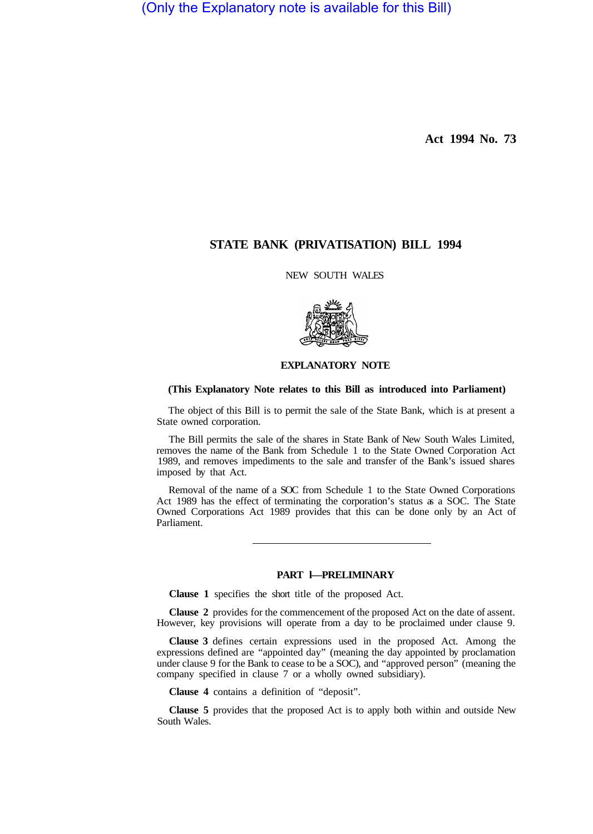(Only the Explanatory note is available for this Bill)

**Act 1994 No. 73** 

# **STATE BANK (PRIVATISATION) BILL 1994**

NEW SOUTH WALES



## **EXPLANATORY NOTE**

### **(This Explanatory Note relates to this Bill as introduced into Parliament)**

The object of this Bill is to permit the sale of the State Bank, which is at present a State owned corporation.

The Bill permits the sale of the shares in State Bank of New South Wales Limited, removes the name of the Bank from Schedule 1 to the State Owned Corporation Act 1989, and removes impediments to the sale and transfer of the Bank's issued shares imposed by that Act.

Removal of the name of a SOC from Schedule 1 to the State Owned Corporations Act 1989 has the effect of terminating the corporation's status as a SOC. The State Owned Corporations Act 1989 provides that this can be done only by an Act of Parliament.

# **PART l—PRELIMINARY**

**Clause 1** specifies the short title of the proposed Act.

**Clause 2** provides for the commencement of the proposed Act on the date of assent. However, key provisions will operate from a day to be proclaimed under clause 9.

**Clause 3** defines certain expressions used in the proposed Act. Among the expressions defined are "appointed day" (meaning the day appointed by proclamation under clause 9 for the Bank to cease to be a SOC), and "approved person" (meaning the company specified in clause 7 or a wholly owned subsidiary).

**Clause 4** contains a definition of "deposit".

**Clause 5** provides that the proposed Act is to apply both within and outside New South Wales.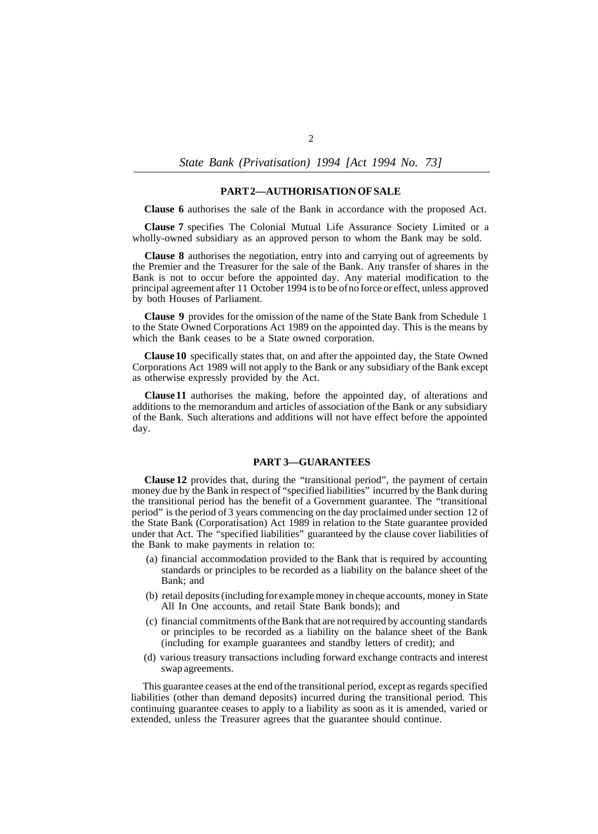*State Bank (Privatisation) 1994 [Act 1994 No. 73]* 

#### **PART 2—AUTHORISATION OF SALE**

**Clause 6** authorises the sale of the Bank in accordance with the proposed Act.

**Clause 7** specifies The Colonial Mutual Life Assurance Society Limited or a wholly-owned subsidiary as an approved person to whom the Bank may be sold.

**Clause 8** authorises the negotiation, entry into and carrying out of agreements by the Premier and the Treasurer for the sale of the Bank. Any transfer of shares in the Bank is not to occur before the appointed day. Any material modification to the principal agreement after 11 October 1994 is to be of no force or effect, unless approved by both Houses of Parliament.

**Clause 9** provides for the omission of the name of the State Bank from Schedule 1 to the State Owned Corporations Act 1989 on the appointed day. This is the means by which the Bank ceases to be a State owned corporation.

**Clause 10** specifically states that, on and after the appointed day, the State Owned Corporations Act 1989 will not apply to the Bank or any subsidiary of the Bank except as otherwise expressly provided by the Act.

**Clause 11** authorises the making, before the appointed day, of alterations and additions to the memorandum and articles of association of the Bank or any subsidiary of the Bank. Such alterations and additions will not have effect before the appointed day.

### **PART 3—GUARANTEES**

**Clause 12** provides that, during the "transitional period", the payment of certain money due by the Bank in respect of "specified liabilities" incurred by the Bank during the transitional period has the benefit of a Government guarantee. The "transitional period" is the period of 3 years commencing on the day proclaimed under section 12 of the State Bank (Corporatisation) Act 1989 in relation to the State guarantee provided under that Act. The "specified liabilities" guaranteed by the clause cover liabilities of the Bank to make payments in relation to:

- (a) financial accommodation provided to the Bank that is required by accounting standards or principles to be recorded as a liability on the balance sheet of the Bank; and
- (b) retail deposits (including for example money in cheque accounts, money in State All In One accounts, and retail State Bank bonds); and
- (c) financial commitments of the Bank that are not required by accounting standards or principles to be recorded as a liability on the balance sheet of the Bank (including for example guarantees and standby letters of credit); and
- (d) various treasury transactions including forward exchange contracts and interest swap agreements.

This guarantee ceases at the end of the transitional period, except as regards specified liabilities (other than demand deposits) incurred during the transitional period. This continuing guarantee ceases to apply to a liability as soon as it is amended, varied or extended, unless the Treasurer agrees that the guarantee should continue.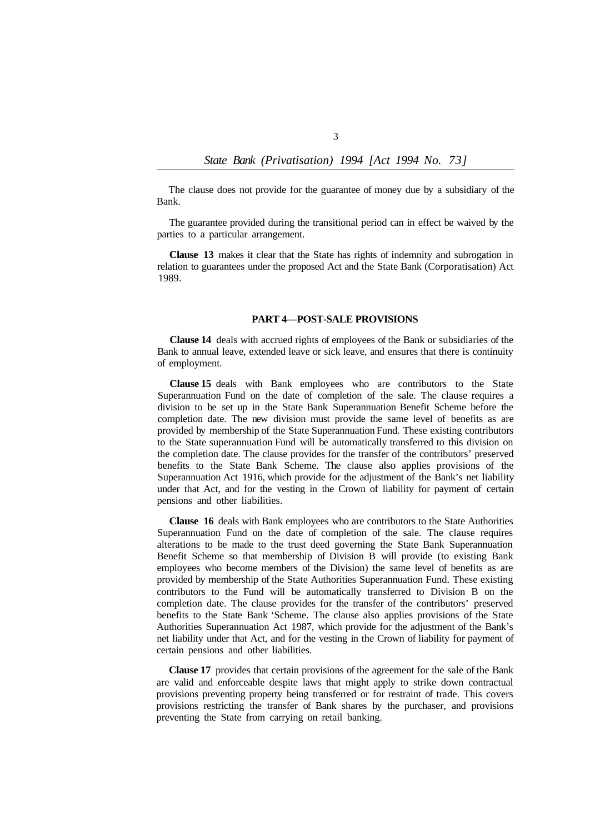The clause does not provide for the guarantee of money due by a subsidiary of the Bank.

The guarantee provided during the transitional period can in effect be waived by the parties to a particular arrangement.

**Clause 13** makes it clear that the State has rights of indemnity and subrogation in relation to guarantees under the proposed Act and the State Bank (Corporatisation) Act 1989.

### **PART 4—POST-SALE PROVISIONS**

**Clause 14** deals with accrued rights of employees of the Bank or subsidiaries of the Bank to annual leave, extended leave or sick leave, and ensures that there is continuity of employment.

**Clause 15** deals with Bank employees who are contributors to the State Superannuation Fund on the date of completion of the sale. The clause requires a division to be set up in the State Bank Superannuation Benefit Scheme before the completion date. The new division must provide the same level of benefits as are provided by membership of the State Superannuation Fund. These existing contributors to the State superannuation Fund will be automatically transferred to this division on the completion date. The clause provides for the transfer of the contributors' preserved benefits to the State Bank Scheme. The clause also applies provisions of the Superannuation Act 1916, which provide for the adjustment of the Bank's net liability under that Act, and for the vesting in the Crown of liability for payment of certain pensions and other liabilities.

**Clause 16** deals with Bank employees who are contributors to the State Authorities Superannuation Fund on the date of completion of the sale. The clause requires alterations to be made to the trust deed governing the State Bank Superannuation Benefit Scheme so that membership of Division B will provide (to existing Bank employees who become members of the Division) the same level of benefits as are provided by membership of the State Authorities Superannuation Fund. These existing contributors to the Fund will be automatically transferred to Division B on the completion date. The clause provides for the transfer of the contributors' preserved benefits to the State Bank 'Scheme. The clause also applies provisions of the State Authorities Superannuation Act 1987, which provide for the adjustment of the Bank's net liability under that Act, and for the vesting in the Crown of liability for payment of certain pensions and other liabilities.

**Clause 17** provides that certain provisions of the agreement for the sale of the Bank are valid and enforceable despite laws that might apply to strike down contractual provisions preventing property being transferred or for restraint of trade. This covers provisions restricting the transfer of Bank shares by the purchaser, and provisions preventing the State from carrying on retail banking.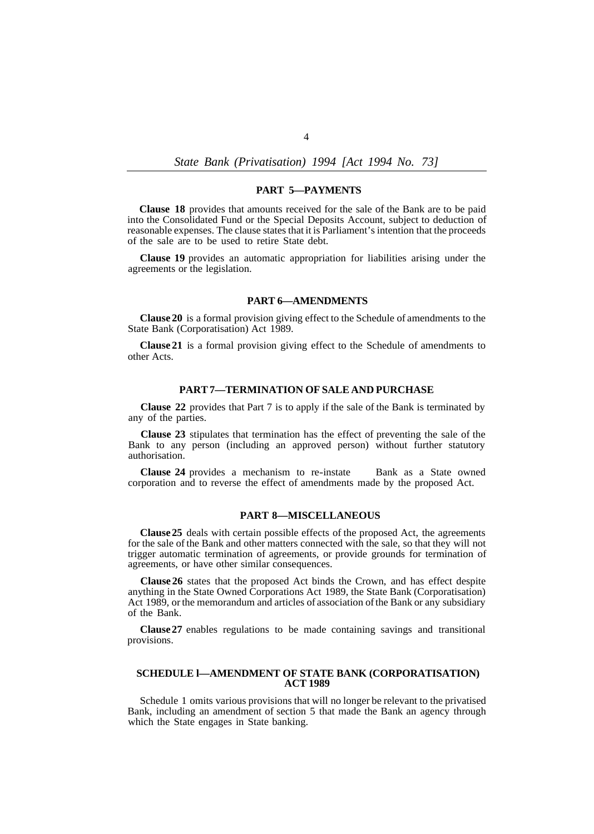*State Bank (Privatisation) 1994 [Act 1994 No. 73]* 

# **PART 5—PAYMENTS**

**Clause 18** provides that amounts received for the sale of the Bank are to be paid into the Consolidated Fund or the Special Deposits Account, subject to deduction of reasonable expenses. The clause states that it is Parliament's intention that the proceeds of the sale are to be used to retire State debt.

**Clause 19** provides an automatic appropriation for liabilities arising under the agreements or the legislation.

### **PART 6—AMENDMENTS**

**Clause 20** is a formal provision giving effect to the Schedule of amendments to the State Bank (Corporatisation) Act 1989.

**Clause 21** is a formal provision giving effect to the Schedule of amendments to other Acts.

# **PART 7—TERMINATION OF SALE AND PURCHASE**

**Clause 22** provides that Part 7 is to apply if the sale of the Bank is terminated by any of the parties.

**Clause 23** stipulates that termination has the effect of preventing the sale of the Bank to any person (including an approved person) without further statutory authorisation.

**Clause 24** provides a mechanism to re-instate Bank as a State owned corporation and to reverse the effect of amendments made by the proposed Act.

#### **PART 8—MISCELLANEOUS**

**Clause 25** deals with certain possible effects of the proposed Act, the agreements for the sale of the Bank and other matters connected with the sale, so that they will not trigger automatic termination of agreements, or provide grounds for termination of agreements, or have other similar consequences.

**Clause 26** states that the proposed Act binds the Crown, and has effect despite anything in the State Owned Corporations Act 1989, the State Bank (Corporatisation) Act 1989, or the memorandum and articles of association of the Bank or any subsidiary of the Bank.

**Clause 27** enables regulations to be made containing savings and transitional provisions.

# **SCHEDULE l—AMENDMENT OF STATE BANK (CORPORATISATION) ACT 1989**

Schedule 1 omits various provisions that will no longer be relevant to the privatised Bank, including an amendment of section 5 that made the Bank an agency through which the State engages in State banking.